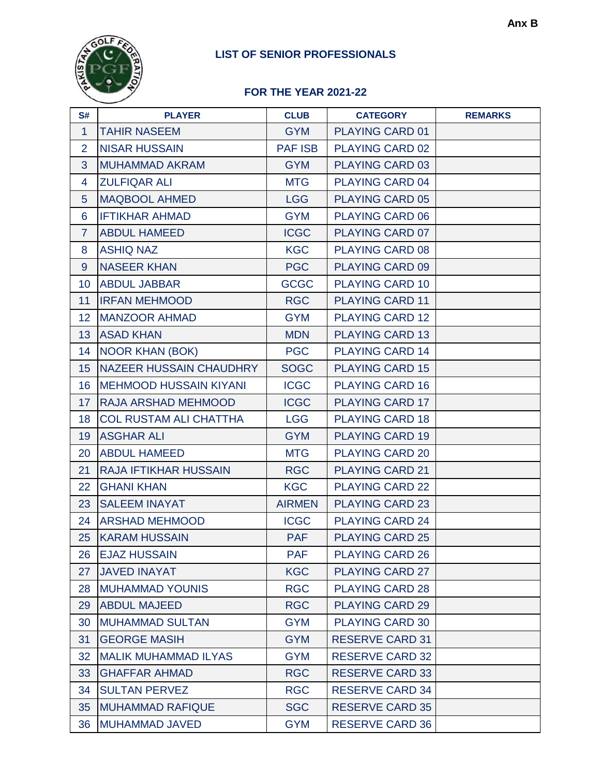# **LIST OF SENIOR PROFESSIONALS**



## **FOR THE YEAR 2021-22**

| S#             | <b>PLAYER</b>                 | <b>CLUB</b>    | <b>CATEGORY</b>        | <b>REMARKS</b> |
|----------------|-------------------------------|----------------|------------------------|----------------|
| $\mathbf{1}$   | <b>TAHIR NASEEM</b>           | <b>GYM</b>     | <b>PLAYING CARD 01</b> |                |
| $\overline{2}$ | <b>NISAR HUSSAIN</b>          | <b>PAF ISB</b> | <b>PLAYING CARD 02</b> |                |
| 3              | <b>MUHAMMAD AKRAM</b>         | <b>GYM</b>     | <b>PLAYING CARD 03</b> |                |
| $\overline{4}$ | <b>ZULFIQAR ALI</b>           | <b>MTG</b>     | <b>PLAYING CARD 04</b> |                |
| 5 <sup>5</sup> | <b>MAQBOOL AHMED</b>          | <b>LGG</b>     | <b>PLAYING CARD 05</b> |                |
| 6              | <b>IFTIKHAR AHMAD</b>         | <b>GYM</b>     | <b>PLAYING CARD 06</b> |                |
| $\overline{7}$ | <b>ABDUL HAMEED</b>           | <b>ICGC</b>    | <b>PLAYING CARD 07</b> |                |
| 8              | <b>ASHIQ NAZ</b>              | <b>KGC</b>     | <b>PLAYING CARD 08</b> |                |
| 9              | <b>NASEER KHAN</b>            | <b>PGC</b>     | <b>PLAYING CARD 09</b> |                |
| 10             | <b>ABDUL JABBAR</b>           | <b>GCGC</b>    | <b>PLAYING CARD 10</b> |                |
| 11             | <b>IRFAN MEHMOOD</b>          | <b>RGC</b>     | <b>PLAYING CARD 11</b> |                |
| 12             | <b>MANZOOR AHMAD</b>          | <b>GYM</b>     | <b>PLAYING CARD 12</b> |                |
| 13             | <b>ASAD KHAN</b>              | <b>MDN</b>     | <b>PLAYING CARD 13</b> |                |
| 14             | <b>NOOR KHAN (BOK)</b>        | <b>PGC</b>     | <b>PLAYING CARD 14</b> |                |
| 15             | NAZEER HUSSAIN CHAUDHRY       | <b>SOGC</b>    | <b>PLAYING CARD 15</b> |                |
| 16             | <b>MEHMOOD HUSSAIN KIYANI</b> | <b>ICGC</b>    | <b>PLAYING CARD 16</b> |                |
| 17             | <b>RAJA ARSHAD MEHMOOD</b>    | <b>ICGC</b>    | <b>PLAYING CARD 17</b> |                |
| 18             | <b>COL RUSTAM ALI CHATTHA</b> | <b>LGG</b>     | <b>PLAYING CARD 18</b> |                |
| 19             | <b>ASGHAR ALI</b>             | <b>GYM</b>     | <b>PLAYING CARD 19</b> |                |
| 20             | <b>ABDUL HAMEED</b>           | <b>MTG</b>     | <b>PLAYING CARD 20</b> |                |
| 21             | <b>RAJA IFTIKHAR HUSSAIN</b>  | <b>RGC</b>     | <b>PLAYING CARD 21</b> |                |
| 22             | <b>GHANI KHAN</b>             | <b>KGC</b>     | <b>PLAYING CARD 22</b> |                |
| 23             | <b>SALEEM INAYAT</b>          | <b>AIRMEN</b>  | <b>PLAYING CARD 23</b> |                |
| 24             | <b>ARSHAD MEHMOOD</b>         | <b>ICGC</b>    | <b>PLAYING CARD 24</b> |                |
| 25             | <b>KARAM HUSSAIN</b>          | <b>PAF</b>     | <b>PLAYING CARD 25</b> |                |
| 26             | <b>EJAZ HUSSAIN</b>           | <b>PAF</b>     | <b>PLAYING CARD 26</b> |                |
| 27             | <b>JAVED INAYAT</b>           | <b>KGC</b>     | <b>PLAYING CARD 27</b> |                |
| 28             | <b>MUHAMMAD YOUNIS</b>        | <b>RGC</b>     | <b>PLAYING CARD 28</b> |                |
| 29             | <b>ABDUL MAJEED</b>           | <b>RGC</b>     | <b>PLAYING CARD 29</b> |                |
| 30             | <b>MUHAMMAD SULTAN</b>        | <b>GYM</b>     | <b>PLAYING CARD 30</b> |                |
| 31             | <b>GEORGE MASIH</b>           | <b>GYM</b>     | <b>RESERVE CARD 31</b> |                |
| 32             | <b>MALIK MUHAMMAD ILYAS</b>   | <b>GYM</b>     | <b>RESERVE CARD 32</b> |                |
| 33             | <b>GHAFFAR AHMAD</b>          | <b>RGC</b>     | <b>RESERVE CARD 33</b> |                |
| 34             | <b>SULTAN PERVEZ</b>          | <b>RGC</b>     | <b>RESERVE CARD 34</b> |                |
| 35             | <b>MUHAMMAD RAFIQUE</b>       | <b>SGC</b>     | <b>RESERVE CARD 35</b> |                |
| 36             | <b>MUHAMMAD JAVED</b>         | <b>GYM</b>     | <b>RESERVE CARD 36</b> |                |